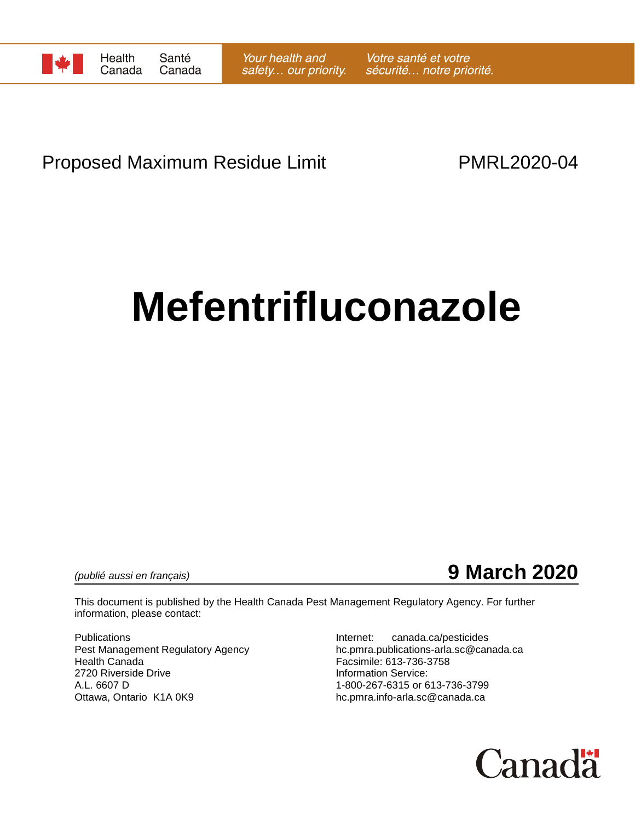

# Proposed Maximum Residue Limit **PMRL2020-04**

# **Mefentrifluconazole**

*(publié aussi en français)* **9 March 2020**

This document is published by the Health Canada Pest Management Regulatory Agency. For further information, please contact:

Publications<br>
Pest Management Regulatory Agency<br>  $\begin{array}{ccc}\n\text{I} & \text{I} & \text{I} \\
\text{I} & \text{I} & \text{I} \\
\text{I} & \text{I} & \text{I}\n\end{array}$ 2720 Riverside Drive **Information Service:**<br>A.L. 6607 D 1-800-267-6315 or 6 A.L. 6607 D<br>Ottawa, Ontario K1A 0K9 Delta Controller School of the head of 1-800-267-6315 or 613-736-3799<br>hc.pmra.info-arla.sc@canada.ca

Pest Management Regulatory Agency<br>
Health Canada<br>
Facsimile: 613-736-3758<br>
Facsimile: 613-736-3758 Facsimile: 613-736-3758 hc.pmra.info-arla.sc@canada.ca

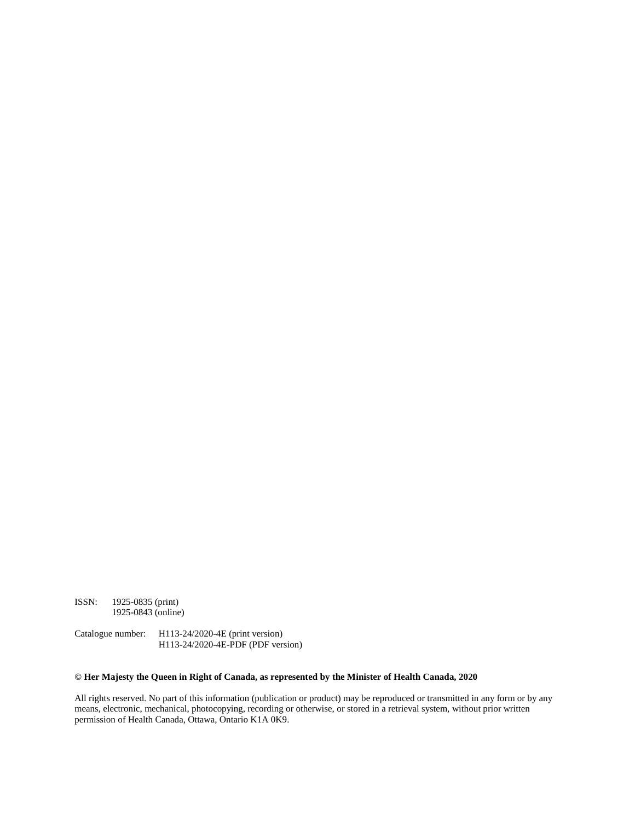ISSN: 1925-0835 (print) 1925-0843 (online)

Catalogue number: H113-24/2020-4E (print version) H113-24/2020-4E-PDF (PDF version)

#### **© Her Majesty the Queen in Right of Canada, as represented by the Minister of Health Canada, 2020**

All rights reserved. No part of this information (publication or product) may be reproduced or transmitted in any form or by any means, electronic, mechanical, photocopying, recording or otherwise, or stored in a retrieval system, without prior written permission of Health Canada, Ottawa, Ontario K1A 0K9.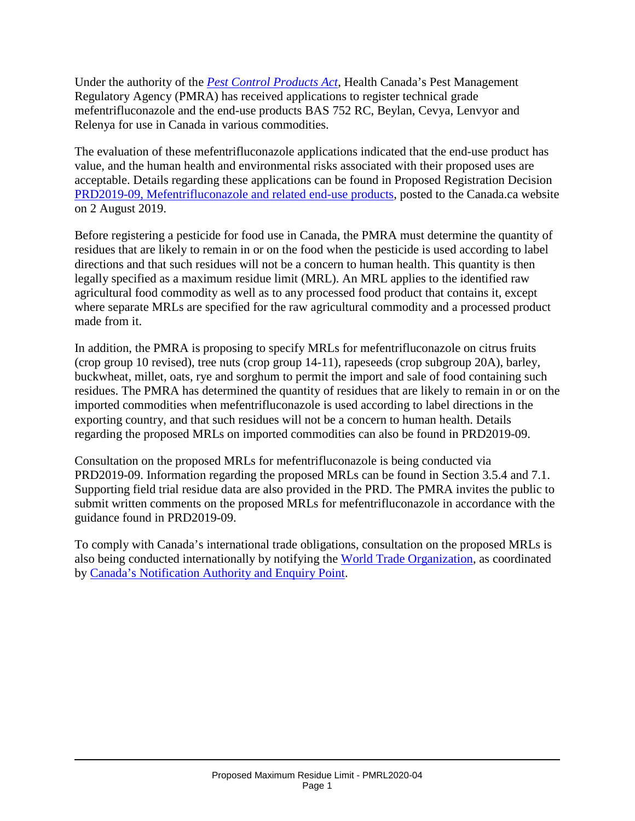Under the authority of the *[Pest Control Products Act](http://laws-lois.justice.gc.ca/eng/acts/P-9.01/)*, Health Canada's Pest Management Regulatory Agency (PMRA) has received applications to register technical grade mefentrifluconazole and the end-use products BAS 752 RC, Beylan, Cevya, Lenvyor and Relenya for use in Canada in various commodities.

The evaluation of these mefentrifluconazole applications indicated that the end-use product has value, and the human health and environmental risks associated with their proposed uses are acceptable. Details regarding these applications can be found in Proposed Registration Decision [PRD2019-09, Mefentrifluconazole and related end-use products,](https://www.canada.ca/en/health-canada/services/consumer-product-safety/pesticides-pest-management/public/consultations/proposed-registration-decisions/2019/mefentrifluconazole.html) posted to the Canada.ca website on 2 August 2019.

Before registering a pesticide for food use in Canada, the PMRA must determine the quantity of residues that are likely to remain in or on the food when the pesticide is used according to label directions and that such residues will not be a concern to human health. This quantity is then legally specified as a maximum residue limit (MRL). An MRL applies to the identified raw agricultural food commodity as well as to any processed food product that contains it, except where separate MRLs are specified for the raw agricultural commodity and a processed product made from it.

In addition, the PMRA is proposing to specify MRLs for mefentrifluconazole on citrus fruits (crop group 10 revised), tree nuts (crop group 14-11), rapeseeds (crop subgroup 20A), barley, buckwheat, millet, oats, rye and sorghum to permit the import and sale of food containing such residues. The PMRA has determined the quantity of residues that are likely to remain in or on the imported commodities when mefentrifluconazole is used according to label directions in the exporting country, and that such residues will not be a concern to human health. Details regarding the proposed MRLs on imported commodities can also be found in PRD2019-09.

Consultation on the proposed MRLs for mefentrifluconazole is being conducted via PRD2019-09. Information regarding the proposed MRLs can be found in Section 3.5.4 and 7.1. Supporting field trial residue data are also provided in the PRD. The PMRA invites the public to submit written comments on the proposed MRLs for mefentrifluconazole in accordance with the guidance found in PRD2019-09.

To comply with Canada's international trade obligations, consultation on the proposed MRLs is also being conducted internationally by notifying the [World Trade Organization,](http://www.wto.org/) as coordinated by [Canada's Notification Authority and Enquiry Point.](http://www.international.gc.ca/trade-agreements-accords-commerciaux/wto-omc/enquiry.aspx?lang=eng)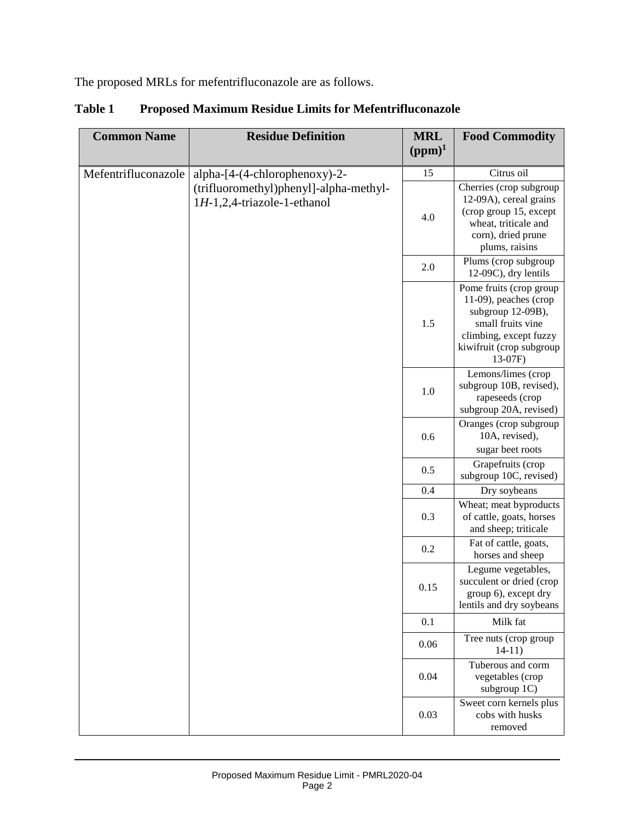The proposed MRLs for mefentrifluconazole are as follows.

| <b>Common Name</b>  | <b>Residue Definition</b>                                                | <b>MRL</b><br>$(ppm)^1$ | <b>Food Commodity</b>                                                                                                                                          |
|---------------------|--------------------------------------------------------------------------|-------------------------|----------------------------------------------------------------------------------------------------------------------------------------------------------------|
| Mefentrifluconazole | alpha-[4-(4-chlorophenoxy)-2-                                            | 15                      | Citrus oil                                                                                                                                                     |
|                     | (trifluoromethyl)phenyl]-alpha-methyl-<br>$1H-1,2,4$ -triazole-1-ethanol | 4.0                     | Cherries (crop subgroup<br>12-09A), cereal grains<br>(crop group 15, except<br>wheat, triticale and<br>corn), dried prune<br>plums, raisins                    |
|                     |                                                                          | 2.0                     | Plums (crop subgroup<br>12-09C), dry lentils                                                                                                                   |
|                     |                                                                          | 1.5                     | Pome fruits (crop group<br>11-09), peaches (crop<br>subgroup 12-09B),<br>small fruits vine<br>climbing, except fuzzy<br>kiwifruit (crop subgroup<br>$13-07F$ ) |
|                     |                                                                          | 1.0                     | Lemons/limes (crop<br>subgroup 10B, revised),<br>rapeseeds (crop<br>subgroup 20A, revised)                                                                     |
|                     |                                                                          | 0.6                     | Oranges (crop subgroup<br>10A, revised),<br>sugar beet roots                                                                                                   |
|                     |                                                                          | 0.5                     | Grapefruits (crop<br>subgroup 10C, revised)                                                                                                                    |
|                     |                                                                          | 0.4                     | Dry soybeans                                                                                                                                                   |
|                     |                                                                          | 0.3                     | Wheat; meat byproducts<br>of cattle, goats, horses<br>and sheep; triticale                                                                                     |
|                     |                                                                          | 0.2                     | Fat of cattle, goats,<br>horses and sheep                                                                                                                      |
|                     |                                                                          | 0.15                    | Legume vegetables,<br>succulent or dried (crop<br>group 6), except dry<br>lentils and dry soybeans                                                             |
|                     |                                                                          | 0.1                     | Milk fat                                                                                                                                                       |
|                     |                                                                          | 0.06                    | Tree nuts (crop group<br>$14-11)$                                                                                                                              |
|                     |                                                                          | 0.04                    | Tuberous and corm<br>vegetables (crop<br>subgroup 1C)                                                                                                          |
|                     |                                                                          | 0.03                    | Sweet corn kernels plus<br>cobs with husks<br>removed                                                                                                          |

**Table 1 Proposed Maximum Residue Limits for Mefentrifluconazole**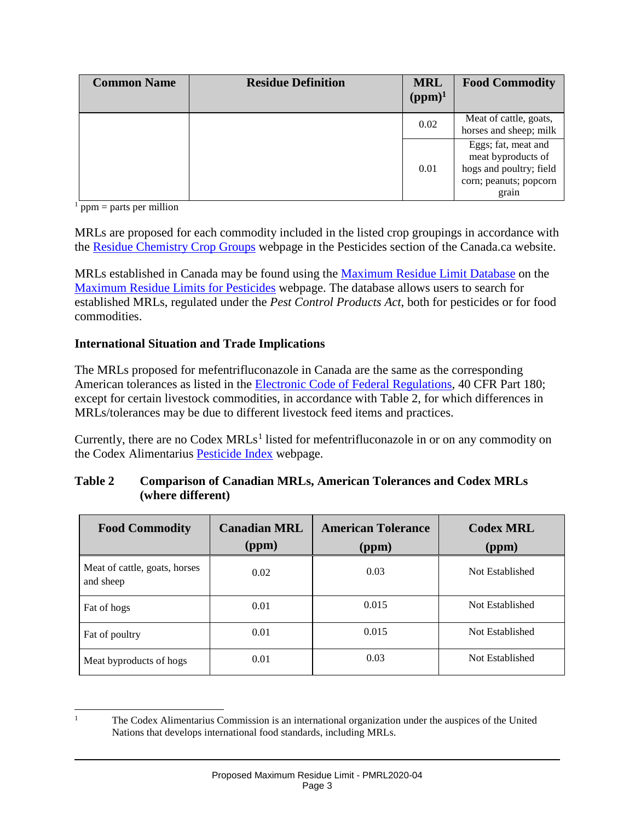| <b>Common Name</b> | <b>Residue Definition</b> | <b>MRL</b><br>$(ppm)^1$ | <b>Food Commodity</b>                                                                                   |
|--------------------|---------------------------|-------------------------|---------------------------------------------------------------------------------------------------------|
|                    |                           | 0.02                    | Meat of cattle, goats,<br>horses and sheep; milk                                                        |
|                    |                           | 0.01                    | Eggs; fat, meat and<br>meat byproducts of<br>hogs and poultry; field<br>corn; peanuts; popcorn<br>grain |

 $\frac{1}{\text{ppm}}$  = parts per million

MRLs are proposed for each commodity included in the listed crop groupings in accordance with the [Residue Chemistry Crop Groups](https://www.canada.ca/en/health-canada/services/consumer-product-safety/pesticides-pest-management/public/protecting-your-health-environment/pesticides-food/residue-chemistry-crop-groups.html) webpage in the Pesticides section of the Canada.ca website.

MRLs established in Canada may be found using the [Maximum Residue Limit Database](http://pr-rp.hc-sc.gc.ca/mrl-lrm/index-eng.php) on the [Maximum Residue Limits for Pesticides](https://www.canada.ca/en/health-canada/services/consumer-product-safety/pesticides-pest-management/public/protecting-your-health-environment/pesticides-food/maximum-residue-limits-pesticides.html) webpage. The database allows users to search for established MRLs, regulated under the *Pest Control Products Act*, both for pesticides or for food commodities.

### **International Situation and Trade Implications**

The MRLs proposed for mefentrifluconazole in Canada are the same as the corresponding American tolerances as listed in the [Electronic Code of Federal Regulations,](http://www.ecfr.gov/cgi-bin/retrieveECFR?gp=1&SID=ffae5f82b935173c30cb6e67e1ba3811&ty=HTML&h=L&n=pt40.24.180&r=PART) 40 CFR Part 180; except for certain livestock commodities, in accordance with Table 2, for which differences in MRLs/tolerances may be due to different livestock feed items and practices.

Currently, there are no Codex  $MRLs<sup>1</sup>$  $MRLs<sup>1</sup>$  $MRLs<sup>1</sup>$  listed for mefentrifluconazole in or on any commodity on the Codex Alimentarius [Pesticide Index](http://www.fao.org/fao-who-codexalimentarius/codex-texts/dbs/pestres/pesticides/en/) webpage.

| <b>Table 2</b> | <b>Comparison of Canadian MRLs, American Tolerances and Codex MRLs</b> |
|----------------|------------------------------------------------------------------------|
|                | (where different)                                                      |

| <b>Food Commodity</b>                      | <b>Canadian MRL</b><br>(ppm) | <b>American Tolerance</b><br>(ppm) | <b>Codex MRL</b><br>(ppm) |
|--------------------------------------------|------------------------------|------------------------------------|---------------------------|
| Meat of cattle, goats, horses<br>and sheep | 0.02                         | 0.03                               | Not Established           |
| Fat of hogs                                | 0.01                         | 0.015                              | Not Established           |
| Fat of poultry                             | 0.01                         | 0.015                              | Not Established           |
| Meat byproducts of hogs.                   | 0.01                         | 0.03                               | Not Established           |

<span id="page-4-0"></span> <sup>1</sup> The Codex Alimentarius Commission is an international organization under the auspices of the United Nations that develops international food standards, including MRLs.